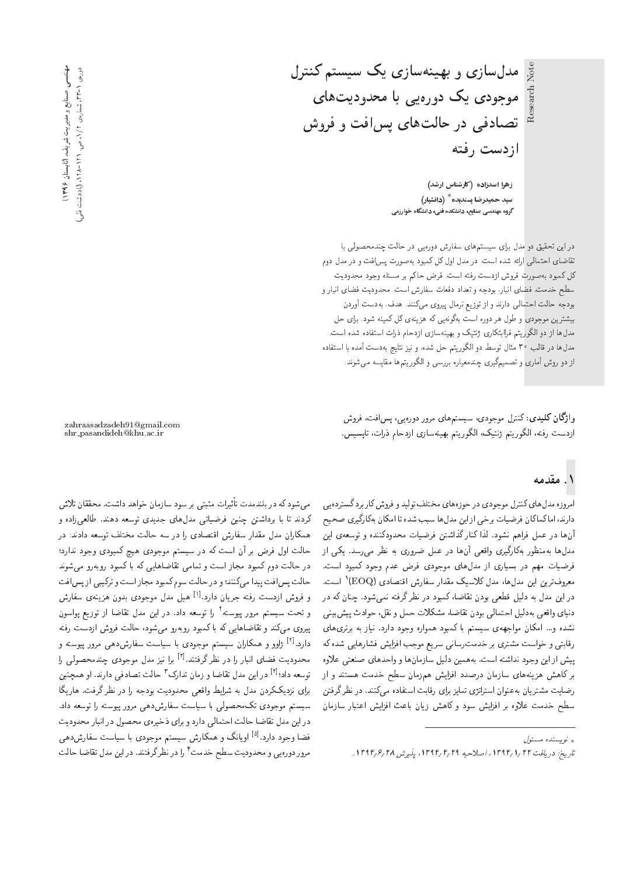Note

مدل سازی و بهینهسازی یک سیستم کنترل موجودی یک دورهیی با محدودیتهای تصادفی در حالتهای پسافت و فروش ازدست رفته

> زهرا اسدزاده (کارشناس ارشد) سید حمیدرضا پسندیده  $^*$  (دانشیار) .<br>گروه ههندسی صنایع، دانش*کد*ه فنی، دانشگاه خوارزمی

دراین تحقیق دو مدل برای سیستمهای سفارش دورهیی در حالت چندمحصولی با تقاضای احتمالی ارائه شده است. در مدل اول کل کمبود بهصورت پس افت و در مدل دوم كل كمبود بهصورت فروش ازدست رفته است. فرض حاكم بر مسئله وجود محدوديت سطح خدمت، فضاى انبار، بودجه و تعداد دفعات سفارش است. محدوديت فضاى انبار و بودجه حالت احتمالی دارند و از توزیع نرمال پیروی میکنند. هدف، بهدست آوردن بیشترین موجودی و طول هر دوره است بهگونهیی که هزینهی کل کمینه شود. برای حل مدل،ا از دو الگوریتم فراابتکاری ژنتیک و بهینهسازی ازدحام ذرات استفاده شده است. مدلها در قالب ۳۰ مثال توسط دو الگوريتم حل شده، و نيز نتايج بهدست آمده با استفاده از دو روش آماری و تصمیمگیری چندمعیاره بررسی و الگوریتمها مقایسه میشوند.

واژگان کلیدی: کنترل موجودی، سیستمهای مرور دورەیپی، پس|فت، فروش ازدست رفته، الگوريتم ژنتيک، الگوريتم بهينهسازى ازدحام ذرات، تاپسيس.

## ۱. مقدمه

امروزه مدل های کنترل موجودی در حوزههای مختلف تولید و فروش کار برد گسترده یی دارند، اماكماكان فرضيات برخى از اين مدلها سبب شده تا امكان بهكارگيري صحيح آنها در عمل فراهم نشود. لذا کنار گذاشتن فرضیات محدودکننده و توسعهءی این مدلها بهمنظور بهکارگیری واقعی أنها در عمل ضروری به نظر می رسد. یکی از .<br>فرضیات مهم در بسیاری از مدلهای موجودی فرض عدم وجود کمبود است. معروفترين اين مدلها، مدل كلاسيك مقدار سفارش اقتصادى (EOQ)<sup>\</sup> است. در این مدل به دلیل قطعی بودن تقاضا، کمبود در نظر گرفته نمیشود. چنان که در دنياى واقعى بهدليل احتمالي بودن تقاضاً، مشكلات حمل و نقل، حوادث پيش بيني نشده و... امکان مواجهه ی سیستم با کمبود همواره وجود دارد. نیاز به برتری های رقابتی و خواست مشتری بر خدمت رسانی سریع موجب افزایش فشارهایی شده که پیش از این وجود نداشته است. بههمین دلیل سازمانها و واحدهای صنعتی علاوه بر کاهش هزینههای سازمان درصدد افزایش همزمان سطح خدمت هستند و از رضایت مشتریان بهعنوان استراتژی تمایز برای رقابت استفاده مهکنند. در نظرگرفتن سطح خدمت علاوه بر افزایش سود و کاهش زیان باعث افزایش اعتبار سازمان

\* نويسنده مسئول

zahraasadzadeh91@gmail.com<br>shr\_pasandideh@khu.ac.ir

میشود که در بلندمدت تأثیرات مثبتی بر سود سازمان خواهد داشت. محققان تلاش کردند تا با برداشتن چنین فرضیاتی مدلهای جدیدی توسعه دهند. طالعیزاده و همکاران مدل مقدار سفارش اقتصادی را در سه حالت مختلف توسعه دادند: در حالت اول فرض بر آن است که در سیستم موجودی هیچ کمبودی وجود ندارد؛ در حالت دوم کمبود مجاز است و تمامی تقاضاهایی که با کمبود روبهرو می شوند حالت پس افت پیدا میکنند؛ و در حالت سوم کمبود مجاز است و ترکیبی از پس افت و فروش ازدست رفته جریان دارد.<sup>[۱]</sup> هیل مدل موجودی بدون هزینهی سفارش و تحت سیستم مرور پیوسته<sup>۲</sup> را توسعه داد. در این مدل تقاضا از توزیع پواسون پیروی میکند و تقاضاهایی که با کمبود روبهرو می شود، حالت فروش ازدست رفته دارد.<sup>[۲]</sup> ژاوو و همکاران سیستم موجودی با سیاست سفارش دهی مرور ییوسته و محدودیت فضای انبار را در نظرگرفتند.<sup>[۳]</sup> برا نیز مدل موجودی چندمحصول<sub>ی</sub> را توسعه داد؛<sup>[۶]</sup> در این مدل تقاضا و زمان تدارک <sup>۳</sup> حالت تصادفی دارند. او همچنین .<br>برای نزدیککردن مدل به شرایط واقعی محدودیت بودجه را در نظرگرفت. هاریگا .<br>سیستم موجودی تکمحصولی با سیاست سفارشدهی مرور ییوسته را توسعه داد. دراین مدل تقاضا حالت احتمالی دارد و برای ذخیرهی محصول در انبار محدودیت فضا وجود دارد.<sup>[۵]</sup> اویانگ و همکارش سیستم موجودی با سیاست سفارشده<sub>ی</sub> مرور دورهیی و محدودیت سطح خدمت ٔ را در نظرگرفتند. در این مدل تقاضا حالت

تاريخ: دريافت ١٣٩٢/ ١٣٩٢، اصلاحيه ١٣٩٢/ ١٣٩٣، يذيرش ١٣٩٤/ ١٣٩٣.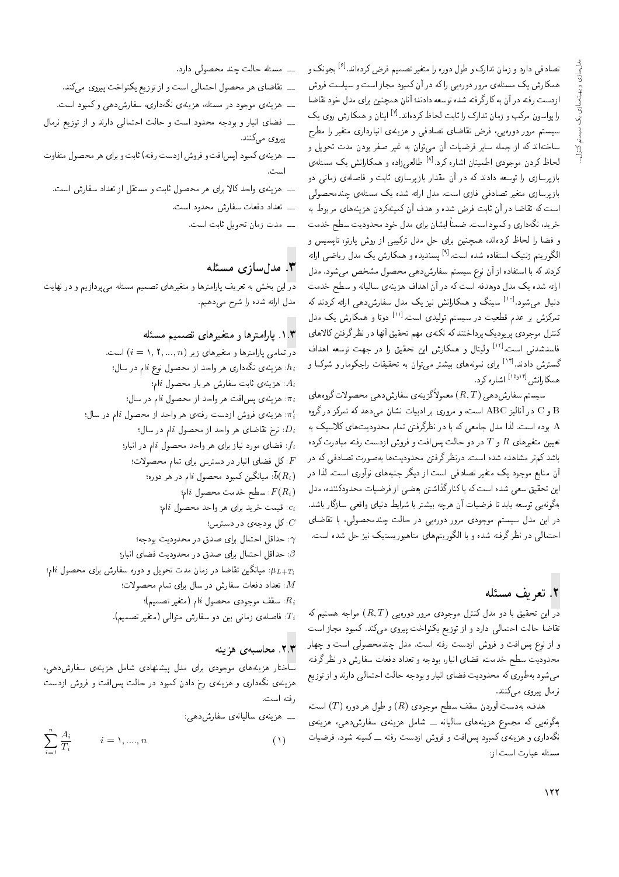تصادفی دارد و زمان تدارک و طول دوره را متغیر تصمیم فرض کردهاند.<sup>[۶]</sup> بجونک و همکارش یک مسئلهی مرور دورهیی راکه در آن کمبود مجاز است و سیاست فروش ازدست رفته در آن به کارگرفته شده توسعه دادند؛ آنان همچنین برای مدل خود تقاضا را پواسون مرکب و زمان تدارک را ثابت لحاظ کردهاند.<sup>[۷]</sup> اینان و همکارش روی یک سیستم مرور دورهیی، فرض تقاضای تصادفی و هزینهی انبارداری متغیر را مطرح ساختهاند که از جمله سایر فرضیات آن میهتوان به غیر صفر بودن مدت تحویل و لحاظ کردن موجودی اطمینان اشاره کرد.<sup>[۸]</sup> طالعیiراده و همکارانش یک مسئ*ل*هی بازپرسازی را توسعه دادند که در آن مقدار بازپرسازی ثابت و فاصلهی زمانی دو بازپرسازی متغیر تصادفی فازی است. مدل ارائه شده یک مسئلهی چندمحصولی است که تقاضا در آن ثابت فرض شده و هدف آن کمینهکردن هزینههای مربوط به خرید، نگهداری و کمبود است. ضمناً ایشان برای مدل خود محدودیت سطح خدمت و فضا را لحاظ کردهاند، همچنین برای حل مدل ترکیبی از روش پارتو، تاپسیس و الگوریتم ژنتیک استفاده شده است.<sup>[۹]</sup> پسندیده و همکارش یک مدل ریاضی ارائه کردند که با استفاده از آن نوع سیستم سفارش دهی محصول مشخص می شود. مدل ارائه شده یک مدل دوهدفه است که در آن اهداف هزینهی سالیانه و سطح خدمت دنبال میشود.<sup>[۱۰]</sup> سینگ و همکارانش نیز یک مدل سفارشدهی ارائه کردند که تمرکزش بر عدم قطعیت در سیستم تولیدی است.<sup>[۱۱]</sup> دوتا و همکارش یک مدل کنترل موجودی پریودیک پرداختند که نکتهی مهم تحقیق آنها در نظرگرفتن کالاهای فاسدشدنی است.<sup>[۱۲]</sup> ولیتال و همکارش این تحقیق را در جهت توسعه اهداف گسترش دادند.<sup>[۱۲]</sup> برای نمونههای بیشتر می;قوان به تحقیقات راجکومار و شوکما و همکارانش <sup>[۱۵٫۱۴]</sup> اشاره کرد.

سیستم سفارش دهی  $(R,T)$  معمولاً گزینهی سفارش دهی محصولات گروههای و  $\rm C$  در آنالیز  $\rm ABC$  است، و مروری بر ادبیات نشان می $\rm c$ هد که تمرکز در گروه  $\rm B$ A بوده است. لذا مدل جامعی که با در نظرگرفتن تمام محدودیتهای کلاسیک به تعیین متغیرهای  $R$  و  $T$  در دو حالت پس|فت و فروش ازدست رفته مبادرت کرده باشد کم تر مشاهده شده است. درنظر گرفتن محدودیتها بهصورت تصادفی که در آن منابع موجود یک متغیر تصادفی است از دیگر جنبههای نوآوری است. لذا در این تحقیق سعی شده است که باکنارگذاشتن بعضی از فرضیات محدودکننده، مدل بهگونه یی توسعه یابد تا فرضیات آن هرچه بیشتر با شرایط دنیای واقعی سازگار باشد. در این مدل سیستم موجودی مرور دورهیی در حالت چندمحصولی، با تقاضای احتمالی در نظر گرفته شده و با الگوریتمهای متاهیوریستیک نیز حل شده است.

### ٢. تعريف مسئله

 $\overline{\mathbf{c}_\mathbf{C}}$  در این تحقیق با دو مدل کنترل موجودی مرور دورهیی  $(R,T)$  مواجه هستیم که تقاضا حالت احتمالی دارد و از توزیع یکنواخت پیروی میکند. کمبود مجاز است و از نوع پسافت و فروش ازدست رفته است. مدل چندمحصولی است و چهار محدودیت سطح خدمت، فضای انبار، بودجه و تعداد دفعات سفارش در نظرگرفته میشود بهطوری که محدودیت فضای انبار و بودجه حالت احتمالی دارند و از توزیع نرمال پیروی می کنند.

هدف، بهدست أوردن سقف سطح موجودي  $(R)$ ) و طول هر دوره  $(T)$  است، بەگونەيى كە مجموع ھزينەھاي ساليانە \_\_ شامل ھزينەي سفارشدھى، ھزينەي نگهداری و هزینهی کمبود پس|فت و فروش ازدست رفته ـــ کمینه شود. فرضیات مسئله عبارت است از:

۔۔ مسئله حالت چند محصولی دارد.

- ــ تقاضای هر محصول احتمالی است و از توزیع یکنواخت پیروی میکند.
- ـــ هزینهی موجود در مسئله، هزینهی نگهداری، سفارشدهی وکمبود است.
- ۔۔ فضای انبار و بودجه محدود است و حالت احتمالی دارند و از توزیع نرمال بیروی مے کنند.
- ـــ هزینهی کمبود (پس افت و فروش ازدست رفته) ثابت و برای هر محصول متفاوت است.
	- ــ هزينه ي واحد كالا براي هر محصول ثابت و مستقل از تعداد سفارش است.
		- ے تعداد دفعات سفارش محدود است.
			- ۔۔ مدت زمان تحویل ثابت است.

### ۳. مدلسازی مسئله

در این بخش به تعریف پارامترها و متغیرهای تصمیم مسئله میپردازیم و در نهایت مدل ارائه شده را شرح می دهیم.

#### ۱.۳. پارامترها و متغیرهای تصمیم مسئله

در تمامی پارامترها و متغیرهای زیر (۱٫ ۲, ۲, ۱٫ = ۱) است. . هزینهی نگهداری هر واحد از محصول نوع  $i$ ام در سال: . هزینهی ثابت سفارش هربار محصول  $i$ ام؛ . هزينهي بس افت هر واحد از محصول  $i$ ام در سال: .<br>هزینهی فروش ازدست رفتهی هر واحد از محصول  $i$ ام در سال:  $\pi_i'$ : نرخ تقاضای هر واحد از محصول  $i$ ام در سال؛ : فضای مورد نیاز برای هر واحد محصول  $i$ ام در انبار؛ : كل فضاى انبار در دسترس براى تمام محصولات؛ . میانگین کمبود محصول  $i$ ام در هر دوره:  $\bar{b}(R_i)$ سطح خدمت محصول  $i$ ام؛  $F(R_i)$ : قیمت خرید برای هر واحد محصول  $i$ ام: : کل بودجهی در دسترس؛  $C$ : حداقل احتمال برای صدق در محدودیت بودجه؛  $\beta$ : حداقل احتمال برای صدق در محدودیت فضای انبار؛ ام؛ سیانگین تقاضا در زمان مدت تحویل و دوره سفارش برای محصول  $i$ ام؛  $\mu_{L+T_i}$ : تعداد دفعات سفارش در سال برای تمام محصولات؛  $\ket{R_i}$  سقف موجودی محصول  $i$ ام (متغیر تصمیم):

: فاصلهى زمانى بين دو سفارش متوالى (متغير تصميم).

#### ۲.۳. محاسبه ی هزینه

ساختار هزینههای موجودی برای مدل پیشنهادی شامل هزینهی سفارشدهی، هزینهی نگهداری و هزینهی رخ دادن کمبود در حالت پس افت و فروش ازدست رفته است.

\_\_ هزينه، ساليانه، سفارشدهي:

$$
\sum_{i=1}^{\infty} \frac{A_i}{T_i} \qquad i = 1, \dots, n \tag{1}
$$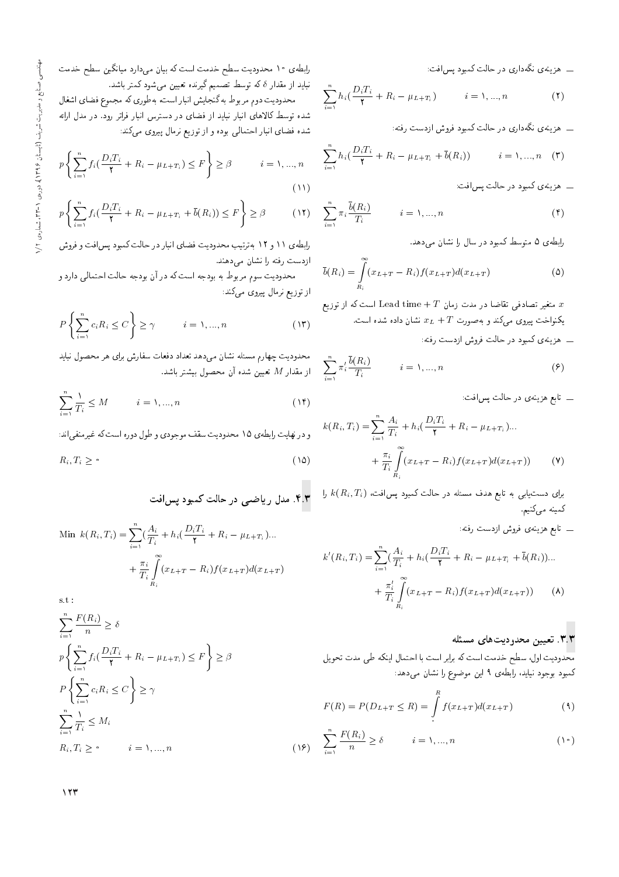ـــ هزینهی نگهداری در حالت کمبود پس افت:

$$
\sum_{i=1}^{n} h_i \left( \frac{D_i T_i}{\gamma} + R_i - \mu_{L+T_i} \right) \qquad i = 1, ..., n \qquad (\dagger)
$$

ــــ هزینهی نگهداری در حالت کمبود فروش ازدست رفته:

$$
\sum_{i=1}^{n} h_i \left( \frac{D_i T_i}{\gamma} + R_i - \mu_{L+T_i} + \bar{b}(R_i) \right) \qquad i = 1, ..., n \quad (\Upsilon)
$$

ـــ هزينهي كمبود در حالت پس|فت:

$$
\sum_{i=1}^{n} \pi_i \frac{\bar{b}(R_i)}{T_i} \qquad i = 1, ..., n \qquad (\dagger)
$$

رابطهی ۵ متوسط کمبود در سال را نشان می دهد.

$$
\bar{b}(R_i) = \int_{R_i}^{\infty} (x_{L+T} - R_i) f(x_{L+T}) d(x_{L+T})
$$
\n(0)

ستغیر تصادفی تقاضا در مدت زمان Lead time + 7 است که از توزیع  $x$ یکنواخت پیروی میکند و به صورت  $x_L + x$  نشان داده شده است.

ـــ هزینهی کمبود در حالت فروش ازدست رفته:

$$
\sum_{i=1}^{n} \pi'_i \frac{\overline{b}(R_i)}{T_i} \qquad i = 1, ..., n
$$
\n
$$
(9)
$$

ـــ تابع هزینهی در حالت پسافت:

$$
x(R_i, T_i) = \sum_{i=1}^{n} \frac{A_i}{T_i} + h_i \left( \frac{D_i T_i}{\gamma} + R_i - \mu_{L+T_i} \right) \dots + \frac{\pi_i}{T_i} \int_{R_i}^{\infty} (x_{L+T} - R_i) f(x_{L+T}) d(x_{L+T})
$$
 (V)

برای دست $\mu$ بی به تابع هدف مسئله در حالت کمبود پسافت،  $k(R_i,T_i)$  را كمينه مىكنيم.

\_\_ تابع هزينهى فروش ازدست رفته:

$$
k'(R_i, T_i) = \sum_{i=1}^{n} \left(\frac{A_i}{T_i} + h_i\left(\frac{D_i T_i}{\tau} + R_i - \mu_{L+T_i} + \bar{b}(R_i)\right)\right) \dots
$$
  
+ 
$$
\frac{\pi'_i}{T_i} \int_{R_i}^{\infty} (x_{L+T} - R_i) f(x_{L+T}) d(x_{L+T}) \qquad (A)
$$

#### ۳.۳. تعیین محدودیتهای مسئله

.<br>محدودیت اول، سطح خدمت است که برابر است با احتمال اینکه طی مدت تحویل کمبود بوجود نیاید، رابطهی ۹ این موضوع را نشان میدهد:

$$
F(R) = P(D_{L+T} \le R) = \int_{0}^{R} f(x_{L+T})d(x_{L+T})
$$
\n(1)

$$
\sum_{i=1}^{n} \frac{F(R_i)}{n} \ge \delta \qquad i = 1, ..., n \qquad (\lambda^{\circ})
$$

رابطهى ١٠ محدوديت سطح خدمت است كه بيان مى دارد ميانكين سطح خدمت نباید از مقدار 6 که توسط تصمیم گیرنده تعیین میشود کمتر باشد.

محدودیت دوم مربوط به گنجایش انبار است، به طوری که مجموع فضای اشغال شده توسط کالاهای انبار نباید از فضای در دسترس انبار فراتر رود. در مدل ارائه .<br>شده فضای انبار احتمالی بوده و از توزیع نرمال پیروی میکند:

$$
p\left\{\sum_{i=1}^{n} f_i\left(\frac{D_i T_i}{\gamma} + R_i - \mu_{L+T_i}\right) \le F\right\} \ge \beta \qquad i = 1, ..., n
$$
\n(11)

$$
p\left\{\sum_{i=1}^{n} f_i\left(\frac{D_i T_i}{\gamma} + R_i - \mu_{L+T_i} + \bar{b}(R_i)\right) \le F\right\} \ge \beta \tag{17}
$$

رابطهی ١١ و ١٢ بهترتيب محدوديت فضاى انبار در حالت كمبود پس افت و فروش ازدست رفته را نشان می دهند.

محدودیت سوم مربوط به بودجه است که در آن بودجه حالت احتمالی دارد و از توزیع نرمال پیروی میکند:

$$
P\left\{\sum_{i=1}^{n} c_i R_i \le C\right\} \ge \gamma \qquad i = 1, ..., n \qquad (11)
$$

محدودیت چهارم مسئله نشان مىدهد تعداد دفعات سفارش براى هر محصول نباید از مقدار  $M$  تعیین شده آن محصول بیشتر باشد.

$$
\sum_{i=1}^{n} \frac{1}{T_i} \le M \qquad i = 1, ..., n \qquad (1)
$$

و در نهایت رابطه ی ۱۵ محدودیت سقف موجودی و طول دوره است که غیرمنفی اند:

$$
R_i, T_i \ge \circ \tag{10}
$$

Min 
$$
k(R_i, T_i) = \sum_{i=1}^{n} \left(\frac{A_i}{T_i} + h_i\left(\frac{D_i T_i}{\gamma} + R_i - \mu_{L+T_i}\right)\right)
$$
  
  $+ \frac{\pi_i}{T_i} \int_{R_i}^{\infty} (x_{L+T} - R_i) f(x_{L+T}) d(x_{L+T})$ 

 $\mathbf{s}.\mathbf{t}$  :

$$
\sum_{i=1}^{n} \frac{F(R_i)}{n} \ge \delta
$$
\n
$$
p\left\{\sum_{i=1}^{n} f_i\left(\frac{D_i T_i}{\tau} + R_i - \mu_{L+T_i}\right) \le F\right\} \ge \beta
$$
\n
$$
P\left\{\sum_{i=1}^{n} c_i R_i \le C\right\} \ge \gamma
$$
\n
$$
\sum_{i=1}^{n} \frac{1}{T_i} \le M_i
$$
\n
$$
R_i, T_i \ge \epsilon \qquad i = 1, ..., n
$$

 $\sqrt{77}$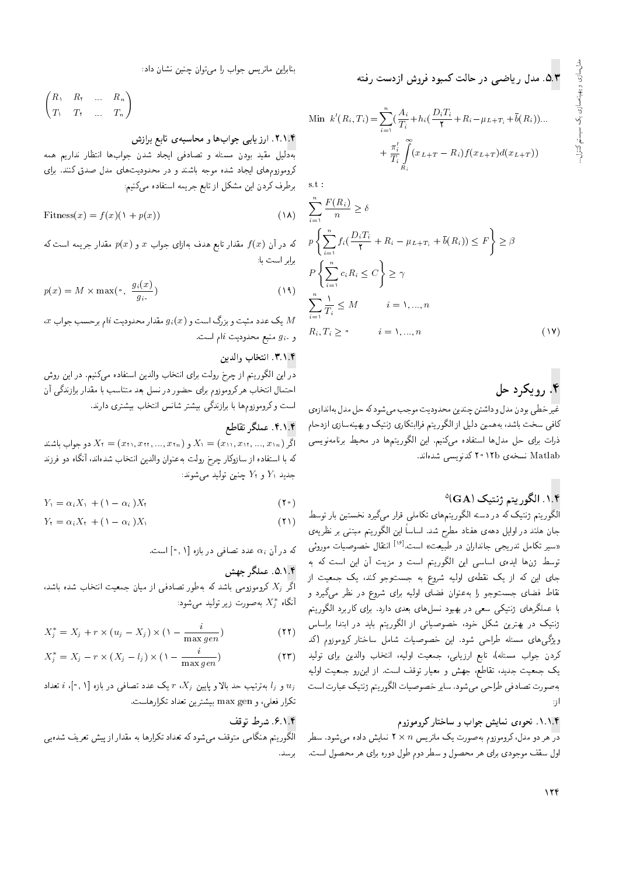Min 
$$
k'(R_i, T_i) = \sum_{i=1}^{n} \left(\frac{A_i}{T_i} + h_i\left(\frac{D_i T_i}{\tau} + R_i - \mu_{L+T_i} + \bar{b}(R_i)\right)\right)
$$
  
+  $\frac{\pi'_i}{T_i} \int_{R_i}^{\infty} (x_{L+T} - R_i) f(x_{L+T}) d(x_{L+T})$ 

 $\mathrm{s.t}$  :

$$
\sum_{i=1}^{n} \frac{F(R_i)}{n} \ge \delta
$$
\n
$$
p\left\{\sum_{i=1}^{n} f_i\left(\frac{D_i T_i}{\gamma} + R_i - \mu_{L+T_i} + \overline{b}(R_i)\right) \le F\right\} \ge \beta
$$
\n
$$
P\left\{\sum_{i=1}^{n} c_i R_i \le C\right\} \ge \gamma
$$
\n
$$
\sum_{i=1}^{n} \frac{\lambda}{T_i} \le M \qquad i = \lambda, ..., n
$$
\n
$$
R_i, T_i \ge \gamma \qquad i = \lambda, ..., n \qquad (\lambda N)
$$

# ۴. رويکرد حل

غير خطى بودن مدل و داشتن چندين محدوديت موجب مى شودكه حل مدل بهاندازهى کافی سخت باشد، به همین دلیل از الگوریتم فراابتکاری ژنتیک و بهینهسازی ازدحام ذرات برای حل مدلها استفاده میکنیم. این الگوریتمها در محیط برنامهنویسی Matlab نسخه ی ۱۲b ۲۰ کدنویسی شدهاند.

### ۱.۴. الگوريتم ژنتيک (GA)<sup>ه</sup>

الگوریتم ژنتیک که در دسته الگوریتمهای تکاملی قرار میگیرد نخستین بار توسط جان هلند در اوایل دههی هفتاد مطرح شد. اساساً این الگوریتم مبتنی بر نظریهی «سیر تکامل تدریجی جانداران در طبیعت» است.<sup>[۱۶]</sup> انتقال خصوصیات موروثی توسط ژنها ایدهی اساسی این الگوریتم است و مزیت آن این است که به جای این که از یک نقطهی اولیه شروع به جستوجو کند، یک جمعیت از نقاط فضای جستوجو را به عنوان فضای اولیه برای شروع در نظر میگیرد و با عملگرهای ژنتیکی سعی در بهبود نسلهای بعدی دارد. برای کاربرد الگوریتم ژنتیک در بهترین شکل خود، خصوصیاتی از الگوریتم باید در ابتدا براساس ویژگی های مسئله طراحی شود. این خصوصیات شامل ساختار کروموزوم (کد كردن جواب مسئله)، تابع ارزيابي، جمعيت اوليه، انتخاب والدين براي توليد یک جمعیت جدید، تقاطع، جهش و معیار توقف است. از این رو جمعیت اولیه به صورت تصادفي طراحي مي شود. ساير خصوصيات الكوريتم ژنتيك عبارت است  $:$ ;|

#### ۱.۱.۴. نحوهی نمایش جواب و ساختار کروموزوم

 $\overline{\mathsf{c}_\mathsf{v}}$  هر دو مدل، کروموزوم بهصورت یک ماتریس  $n\times n$  نمایش داده میشود. سطر اول سقف موجودی برای هر محصول و سطر دوم طول دوره برای هر محصول است.

بنابراین ماتریس جواب را می توان چنین نشان داد:

$$
\begin{pmatrix}\nR_1 & R_1 & \dots & R_n \\
T_1 & T_1 & \dots & T_n\n\end{pmatrix}
$$

۲.۱.۴. ارزیابی جوابها و محاسبهی تابع برازش

بهدليل مقيد بودن مسئله وتصادفي ايجاد شدن جوابها انتظار نداريم همه کروموزوم های ایجاد شده موجه باشند و در محدودیت های مدل صدق کنند. برای برطرف کردن این مشکل از تابع جریمه استفاده میکنیم:

$$
Fitness(x) = f(x)(\lambda + p(x))
$$
\n<sup>(\lambda \lambda)</sup>

که در آن  $f(x)$  مقدار تابع هدف بهازای جواب  $x$  و  $p(x)$  مقدار جریمه است که **برایر است** با:

$$
p(x) = M \times \max(\cdot, \frac{g_i(x)}{g_{i\cdot}})
$$
 (14)

، $x$  یک عدد مثبت و بزرگ است و  $g_i(x)$  مقدار محدودیت  $i$ ام برحسب جواب  $M$ و .gi منبع محدودیت  $i$ ام است.

#### ٣.١.۴. انتخاب والدين

در این الگوریتم از چرخ رولت برای انتخاب والدین استفاده میکنیم. در این روش احتمال انتخاب هر کروموزوم برای حضور در نسل بعد متناسب با مقدار برازندگی آن است و کروموزومها با برازندگی بیشتر شانس انتخاب بیشتری دارند.

#### ۴.۱.۴. عملگه تقاطع

قو جواب باشند X1 = (x11, x11, ..., x12) قر X1 = (x11, x11, ..., x11) که با استفاده از سازوکار چرخ رولت بهعنوان والدین انتخاب شدهاند، آنگاه دو فرزند جدید  $Y_1$  و  $Y_3$  چنین تولید می شوند:

$$
Y_1 = \alpha_i X_1 + (1 - \alpha_i) X_1 \tag{7} \tag{7} \bullet
$$

$$
Y_{\mathsf{t}} = \alpha_i X_{\mathsf{t}} + (\mathsf{t} - \alpha_i) X_{\mathsf{t}} \tag{1'}
$$

که در آن  $\alpha_i$  عدد تصافی در بازه [۰٫۱] است.

#### ۵.۱.۴. عملگر جهش

اگر X<sub>1</sub> کروموزومی باشد که بهطور تصادفی از میان جمعیت انتخاب شده باشد، آنگاه  $X_i^*$  بهصورت زیر تولید می شود:

$$
X_j^* = X_j + r \times (u_j - X_j) \times (1 - \frac{i}{\max gen})
$$
 (11)

$$
X_j^* = X_j - r \times (X_j - l_j) \times (1 - \frac{i}{\max gen})
$$
 (17)

و  $l_j$  بهترتیب حد بالا و پایین  $r$ ،  $X_j$  یک عدد تصافی در بازه  $\left\lceil \cdot,\cdot \right\rceil$ ، تعداد  $u_j$ تكرار فعلي، و max gen بيشترين تعداد تكرارهاست.

#### ۶.۱.۴. شرط توقف

الگوریتم هنگامی متوقف میشودکه تعداد تکرارها به مقدار از پیش تعریف شدهیی برسد.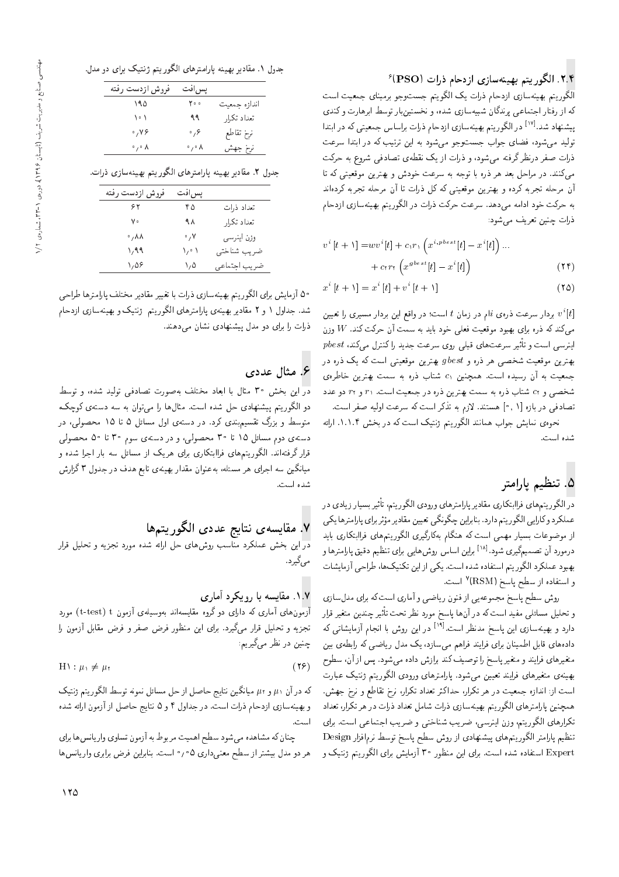صنایع و مدیریت شریف (تابستان ۱۳۴۶)، دورهی ۱–۳۳۲ شمارهی ۱/ ۱ مهندسی صنایع و مدیریت شریف (تابستان ۱۳۹۶)، دورهی ۱-۲۳ شمارهی ۲ /

# ۲.۴. الگوريتم بهينهسازى ازدحام ذرات (PSO)<sup>,</sup>

آلگوریتم بهینهسازی ازدحام ذرات یک الگویتم جستوجو برمبنای جمعیت است كه از رفتار اجتماعي پرندگان شبيهسازي شده، و نخستينبار توسط ابرهارت و كندي پیشنهاد شد.<sup>[۱۷]</sup> در الگوریتم بهینهسازی ازدحام ذرات براساس جمعیتی که در ابتدا<br>ما بود که میشهراست و این است تولید می شود، فضای جواب جست وجو می شود به این ترتیب که در ابتدا سرعت ذرات صفر درنظرگرفته میشود، و ذرات از یک نقطهی تصادفی شروع به حرکت میکنند. در مراحل بعد هر ذره با توجه به سرعت خودش و بهترین موقعیتی که تا آن مرحله تجربه کرده و بهترین موقعیتی که کل ذرات تا آن مرحله تجربه کردهاند به حركت خود ادامه مىدهد. سرعت حركت ذرات در الكوريتم بهينهسازى ازدحام ذرات چنین تعریف می شود:

$$
v^{i}[t + \mathbf{1}] = w v^{i}[t] + c_{\mathbf{1}} r_{\mathbf{1}} \left( x^{i, p^{b} \in st}[t] - x^{i}[t] \right) \dots + c_{\mathbf{1}} r_{\mathbf{1}} \left( x^{g^{b} \in st}[t] - x^{i}[t] \right)
$$
(15)

$$
x^{i}[t + \mathbf{1}] = x^{i}[t] + v^{i}[t + \mathbf{1}]
$$
\n(70)

بردار سرعت ذرهى iام در زمان t است؛ در واقع اين بردار مسيرى را تعيين،  $v^i[t]$ میکند که ذره برای بهبود موقعیت فعلی خود باید به سمت آن حرکت کند.  $W$  وزن اینرسمی است و تأثیر سرعتهای قبلی روی سرعت جدید را کنترل میکند. pbest<br>-بهترین موقعیت شخصی هر ذره و  $best$  بهترین موقعیتی است که یک ذره در جمعیت به آن رسیده است. همچنین ۵٫ شتاب ذره به سمت بهترین خاطرهی شخصی و cr شتاب ذره به سمت بهترین ذره در جمعیت است. ۳۱ و rr دو عدد تصادفی در بازه [۰٫۱] هستند. لازم به تذکر است که سرعت اولیه صفر است.

نحوهی نمایش جواب همانند الگوریتم ژنتیک است که در بخش ۱.۱.۴. ارائه شده است.

# 0. تنظيم يارامتر

در الگوریتم های فراابتکاری مقادیر پارامترهای ورودی الگوریتم، تأثیر بسیار زیادی در<br>سایم سیمارا سالگ عملکرد وکارایی الگوریتم دارد. بنابراین چگونگی تعیین مقادیر مؤثر برای پارامترها یکی<br>است. در سالمان است که است که سوگان کاگست از گ از موضوعات بسیار مهمی است که هنگام بهکارگیری الگوریتمهای فراابتکاری باید درمورد أن تصميمگيرى شود.<sup>[۱۸]</sup> براين اساس روش هايى براى تنظيم دقيق پارلمترها و<br>پاکستانگو به باستان میدان به مورد استانگو کولسانگو کولسانگو با استانگو بهبود عملكرد الكوريتم استفاده شده است. يكي از اين تكنيك ها، طراحي آزمايشات و استفاده از سطح پاسخ (RSM)<sup>۷</sup> است.<br>.

روش سطح پاسخ مجموعهیی از فنون ریاضی و أماری است که برای مدلسازی و تحلیل مسائلی مفید است که در آن ها پاسخ مورد نظر تحت تأثیر چندین متغیر قرار<br>استان استفاده است به سویل ایران افزار دارد و بهینهسازی این پاسخ مدنظر است.<sup>[۱۹]</sup> در این روش با انجام آزمایشانی که<br>بار میان تا ایرانی بار مناسب نامین نامیند دادههای قابل اطمینان برای فرایند فراهم می سازد، یک مدل ریاضی که رابطهی بین متغیرهای فرایند و متغیر پاسخ را توصیف کند برازش داده میشود. پس از آن، سطوح بهمینهی متغیرهای فرایند تعیین میشود. پارامترهای ورودی الگوریتم ژنتیک عبارت است از: اندازه جمعیت در هر تکرار، حداکثر تعداد تکرار، نرخ تقاطع و نرخ جهش. همچنین پارامترهای الگوریتم بهینهسازی ذرات شامل تعداد ذرات در هر تکرار، تعداد تكرارهاى الگوريتم، وزن اينرسي، ضريب شناختي و ضريب اجتماعي است. براي تنظیم پارامتر الگوریتم های پیشنهادی از روش سطح پاسخ توسط نرم|فزار Design Expert استفاده شده است. برای این منظور ۳۰ آزمایش برای الگوریتم ژنتیک و

| جدول ۱. مقادیر بهینه پارامترهای الگوریتم ژنتیک برای دو مدل. |  |  |  |
|-------------------------------------------------------------|--|--|--|
|-------------------------------------------------------------|--|--|--|

| فروش ازدست رفته            | يس افت |              |
|----------------------------|--------|--------------|
| ۱۹۵                        | ه ۲۰   | اندازه جمعيت |
| ۱۰۱                        | ۹۹     | تعداد تكرار  |
| ۷۶، ۰                      | ۶، ه   | نرخ تقاطع    |
| $\circ$ , $\circ$ $\wedge$ | ∘ ∕∘∧  | نرخ جهش      |
|                            |        |              |

جدول ۲. مقادیر بهینه پارامترهای الگوریتم بهینهسازی ذرات.

| فروش ازدست رفته | بس افت           |              |
|-----------------|------------------|--------------|
| ۶۲              | ۴۵               | تعداد ذرات   |
| ٧.              | ٩A               | تعداد تكرار  |
| ◦ ៸ ⅄ ⅄         | $\cdot$ , $\vee$ | وزن اينرسى   |
| ۱٬۹۹            | いい               | ضريب شناختى  |
| ۱٬۵۶            | ۱,۵              | ضريب اجتماعي |

0° آزمايش براى الكوريتم بهينهسازى ذرات با تغيير مقادير مختلف پارلمترها طراحى شد. جداول ۱ و ۲ مقادیر بهینهی پارامترهای الگوریتم ژنتیک و بهینهسازی ازدحام ذرات را برای دو مدل پیشنهادی نشان می دهند.

# ۶. مثال عددی

<mark>در</mark> این بخش ۳۰ مثال با ابعاد مختلف بهصورت تصادفی تولید شده، و توسط دو الگوریتم پیشنهادی حل شده است. مثالها را می توان به سه دستهی کوچک، متوسط و بزرگ تقسیم بندی کرد. در دستهی اول مسائل ۵ تا ۱۵ محصولی، در دستهى دوم مسائل ١٥ تا ٣٠ محصولى، و در دستهى سوم ٣٠ تا ٥٠ محصولى قرار گرفتهاند. الگوریتمهای فراابتکاری برای هریک از مسائل سه بار اجرا شده و میانگین سه اجرای هر مسئله، بهعنوان مقدار بهینهی تابع هدف در جدول ۳ گزارش شده است.

# Y. مقايسەى نتايج عددى الگوريتمها

در این بخش عملکرد مناسب روشهای حل ارائه شده مورد تجزیه و تحلیل قرار<br>گ مىگيرد.

### |Q=t; OQm}wQ =@ xU}=kt "1"7

آزمونهای آماری که دارای دو گروه مقایسهاند بهوسیلهی آزمون t-test) t مورد تجزيه و تحليل قرار مىگيرد. براى اين منظور فرض صفر و فرض مقابل أزمون را چنین در نظر م<sub>یگ</sub>یریم:

$$
H \setminus : \mu_{\lambda} \neq \mu_{\tau} \tag{18}
$$

که در آن <sub>ا</sub>µ و µr میانگین نتایج حاصل از حل مسائل نمونه توسط الگوریتم ژنتیک و بهینهسازی ازدحام ذرات است. در جداول ۴ و ۵ نتایج حاصل از آزمون ارائه شده است.<br>-

چنان که مشاهده میشود سطح اهمیت مربوط به آزمون تساوی واریانس ها برای هر دو مدل بیشتر از سطح معنیداری ۰٫۰۵ است. بنابراین فرض برابری واریانس ها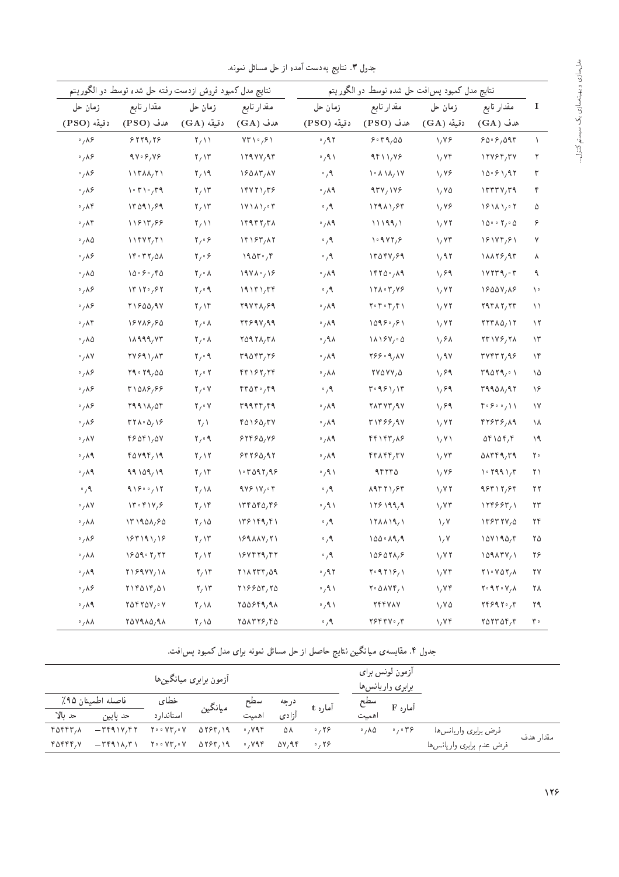|                                      | نتايج مدل كمبود فروش ازدست رفته حل شده توسط دو الگوريتم             |                                        |                                                                                         |                            | نتايج مدل كمبود پس افت حل شده توسط دو الگوريتم               |                     |                                                         |                          |
|--------------------------------------|---------------------------------------------------------------------|----------------------------------------|-----------------------------------------------------------------------------------------|----------------------------|--------------------------------------------------------------|---------------------|---------------------------------------------------------|--------------------------|
| زمان حل                              | مقدار تابع                                                          | زمان حل                                | مقدار نابع                                                                              | زمان حل                    | مقدار تابع                                                   | زمان حل             | مقدار تابع                                              | $\bf I$                  |
| دقيقه (PSO)                          | $(PSO)$ هدف                                                         | $(GA)$ دقيقه                           | $(GA)$ هدف                                                                              | دقيقه (PSO)                | $(PSO)$ هدف                                                  | دقيقه (GA)          | $(GA)$ هدف                                              |                          |
| $\circ$ , $\wedge$ $\circ$           | 5779,79                                                             | $\gamma$                               | $VT \setminus \cdot / \cdot \setminus$                                                  | $\cdot$ , 97               | 9.79,00                                                      | 1, 19               | 90.901                                                  | $\Delta$                 |
| $\cdot$ , $\wedge$ ۶                 | $9V \cdot 9/V9$                                                     | $\mathbf{Y}_f \setminus \mathbf{Y}$    | 119YY, 9Y                                                                               | $\cdot$ , 9                | 4411,48                                                      | $\sqrt{y}$          | 17499/74                                                | ٢                        |
| $\cdot$ , $\wedge$ ۶                 | $\binom{1}{1}$                                                      | $\mathsf{Y}_7$ \ 9                     | 18015,11                                                                                | $\cdot$ , 9                | $\lambda \cdot \lambda \lambda / \lambda / \lambda V$        | $\sqrt{1}$          | 10.9147                                                 | ٣                        |
| $^{\circ}$ , $\mathsf{A}\mathcal{S}$ | $\binom{1-\gamma+\gamma}{\gamma+\gamma}$                            | $\mathsf{Y}_\ell \setminus \mathsf{Y}$ | $\frac{1841}{72}$                                                                       | $\cdot$ , $\wedge$ 9       | 474/199                                                      | $\lambda / \lambda$ | 1777477                                                 | ۴                        |
| .74                                  | 17091,99                                                            | $\mathbf{Y}_f \setminus \mathbf{Y}$    | $\frac{1}{\sqrt{2}}$                                                                    | $\cdot$ , 9                | 1191177                                                      | $\sqrt{1}$          | 181A1.                                                  | ۵                        |
| $\cdot$ , $\wedge$ ۴                 | 11815,88                                                            | $\mathsf{Y}_\ell$ \ \                  | $\frac{18477}{70}$                                                                      | $\cdot$ , $\wedge$ 9       | 11199/1                                                      | 1/17                | $10.0 \cdot 10.0$                                       | ۶                        |
| $\cdot$ , $\wedge \wedge$            | $\binom{1}{1}$                                                      | $\mathbf{Y}_f \circ \mathbf{Y}$        | $\Gamma$                                                                                | $\cdot$ , 9                | 1.94Y79                                                      | $\sqrt{2}$          | 18189,81                                                | Y                        |
| $\cdot$ , $\wedge$ ۶                 | 11.77,01                                                            | $\mathbf{Y}_f \circ \mathbf{Y}$        | 1905.7                                                                                  | $\cdot$ , 9                | 1709V,89                                                     | 1/97                | $\lambda \lambda \lambda \gamma$ , $\gamma \gamma$      | ٨                        |
| $\cdot$ , $\wedge \wedge$            | 10.90/80                                                            | $\mathbf{Y}_f \circ \mathbf{Y}$        | $19YA^2/18$                                                                             | $\cdot$ , $\wedge$ 9       | 1870.719                                                     | 1,99                | $\gamma$                                                | ٩                        |
| $\cdot$ , $\wedge$ $\circ$           | $\mathcal{N} \mathcal{N} \mathcal{N} \cdot \mathcal{S} \mathcal{N}$ | $\mathbf{y} \cdot \mathbf{y}$          | 19151/Tf                                                                                | $\cdot$ , 9                | 171.7/99                                                     | $\sqrt{27}$         | 1800Y, A8                                               | $\lambda$                |
| $\cdot$ , $\wedge$ ۶                 | $Y \rightarrow 00,9V$                                               | $\mathbf{Y}_1 \setminus \mathbf{Y}$    | Y4VFA,94                                                                                | $\cdot$ , $\wedge$ 9       | $Y \circ Y \circ Y / Y$                                      | $\sqrt{y}$          | Y4YAY,YY                                                | $\setminus$              |
| $\cdot$ , $\wedge$ ۴                 | 18818,80                                                            | $\mathbf{Y}_f \circ \mathbf{Y}$        | $\Upsilon\Upsilon S \Upsilon V_f \Upsilon \Upsilon$                                     | $\cdot$ , $\wedge$ 9       | 1099°/91                                                     | 1/17                | YYYAQ/Y                                                 | $\backslash$ $\uparrow$  |
| $\cdot$ , $\wedge \vartriangle$      | $\lambda$ 111, $\gamma$ ۳                                           | $\mathbf{Y}_f \circ \mathbf{Y}$        | $Y\Omega 1 Y\Lambda/T\Lambda$                                                           | $\cdot$ , 9 $\wedge$       | 11194/0                                                      | 1/8A                | $\mathbf{Y} \mathbf{Y} \mathbf{Y} \mathbf{Y}$           | $\backslash \mathbf{r}$  |
| $\cdot$ , AV                         | YY991/AY                                                            | $\mathbf{y} \cdot \mathbf{y}$          | T405T/T5                                                                                | $\cdot$ , $\wedge$ 9       | Y9909, AV                                                    | $\sqrt{4V}$         | $r$ $v$ $r$ $r$ $r$ , $4$ $s$                           | $\lambda$ ۴              |
| $\cdot$ , $\wedge$ $\circ$           | Y4.74.00                                                            | $\mathbf{Y}_f \circ \mathbf{Y}$        | FT157,77                                                                                | $\cdot$ , $\lambda\lambda$ | rvovv, o                                                     | 1,99                | T4079,01                                                | ۱۵                       |
| $\cdot$ , $\wedge$ ۶                 | T1018,99                                                            | $\mathbf{Y}_f \circ \mathbf{Y}$        | rror.                                                                                   | $\cdot$ , 9                | ۳۰۹۶۱/۱۳                                                     | 1/99                | 19901/97                                                | $\backslash \mathcal{S}$ |
| $\cdot$ , $\wedge$ $\circ$           | $Y441\lambda/\Delta f$                                              | $\mathbf{Y}_f \circ \mathbf{Y}$        | $r_1$                                                                                   | $\cdot$ , $\wedge$ 9       | YAYY779Y                                                     | 1/99                | 4.800/11                                                | $\lambda$ Y              |
| $\cdot$ , $\wedge$ $\circ$           | $T\Upsilon\Lambda\cdot\Delta/\Lambda$                               | $\mathbf{Y}_{\ell}$                    | $f \triangle \lambda f \triangle_f f V$                                                 | $\cdot$ , $\wedge$ 9       | ۳۱۴۶۶ <sub>/</sub> ۹۷                                        | 1/17                | 47676,19                                                | ١٨                       |
| $\cdot$ , $\wedge \vee$              | f(0,0)                                                              | $\mathbf{Y}_f \circ \mathbf{A}$        | 57750,99                                                                                | $\cdot$ , $\wedge$ 9       | fff1ff/A9                                                    | $\lambda/\lambda$   | $\Delta f \Delta f / f$                                 | $\lambda$                |
| $^\circ$ , $\wedge$ ٩                | f(Y1f,11                                                            | $\mathbf{Y}_I \setminus \mathbf{Y}$    | 57750,97                                                                                | $\cdot$ , $\wedge$ 9       | $f\uparrow\lambda f\uparrow f\uparrow V$                     | $\sqrt{\gamma}$     | 0159,79                                                 | $\mathbf{Y} \circ$       |
| $\cdot$ , $\wedge$ 9                 | 99109/19                                                            | $\mathbf{Y}_I \setminus \mathbf{Y}$    | 1.7097,99                                                                               | $\cdot$ / ٩ ١              | 15770                                                        | 1, 18               | $\cdot$ $\cdot$ $\cdot$ $\cdot$ $\cdot$ $\cdot$ $\cdot$ | ۲۱                       |
| $\cdot$ , 9                          | 11800/17                                                            | $\mathbf{Y}_I \setminus \mathbf{A}$    | $9Y5Y/\cdot 5$                                                                          | $\cdot$ , 9                | $\lambda$ 94 $\gamma$ <sub>)</sub> $\gamma$                  | $\sqrt{27}$         | 98517,86                                                | ۲۲                       |
| $\cdot$ , AV                         | $\Upsilon \cdot \Upsilon \vee \gamma$                               | $\gamma \wedge r$                      | 17709079                                                                                | $\cdot$ / 9 )              | 1191979                                                      | $\sqrt{\gamma}$     | $\frac{188887}{1}$                                      | $\mathsf{Y}\mathsf{Y}$   |
| $\cdot$ , $\wedge\wedge$             | 17190A/B0                                                           | $\gamma\wedge\Delta$                   | $\Upsilon$ $\Upsilon$ $\Upsilon$ $\Upsilon$ $\Upsilon$ $\Upsilon$ $\Upsilon$ $\Upsilon$ | $\cdot$ , 9                | 17AA19/1                                                     | $\lambda/\lambda$   | $\frac{1}{2}$                                           | ۲۴                       |
| $\cdot$ , $\wedge$ ۶                 | 151111/18                                                           | ۲٫۱۳                                   | $159\lambda\lambda V, 71$                                                               | $\cdot$ , 9                | 100.197                                                      | $\lambda/\lambda$   | ۱۵۷۱۹۵/۳                                                | ۲۵                       |
| $\cdot$ , $\lambda \lambda$          | 1801.777                                                            | $\mathbf{Y}_1 \setminus \mathbf{Y}$    | 18Y579757                                                                               | $\cdot$ , 9                | $\lambda \Delta \xi \Delta \tau \lambda / \xi$               | $\sqrt{V}$          | $109$ $\Lambda$ $\gamma$ $\gamma$                       | ۲۶                       |
| $\cdot$ , $\wedge$ 9                 | $Y \setminus Y \setminus Y \setminus Y$                             | $\mathbf{Y}_I \setminus \mathbf{Y}$    | $Y\Lambda YYY, \Delta Y$                                                                | $\cdot$ , 97               | 1.9119/1                                                     | $\sqrt{y}$          | $Y \cup Y \cap Y$                                       | ۲۷                       |
| $\cdot$ , $\wedge$ ۶                 | $Y \setminus Y \triangle \setminus Y / \triangle Y$                 | $\mathbf{Y}_f \setminus \mathbf{Y}$    | Y1990T/70                                                                               | $\cdot$ , 9 \              | $\mathbf{Y} \cdot \Delta \mathbf{V} \mathbf{Y} / \mathbf{V}$ | $\sqrt{y}$          | $Y \circ \mathcal{A} Y \circ \mathcal{V}, \Lambda$      | ۲۸                       |
| $\cdot$ , $\wedge$ 9                 | $Y \triangle Y Y \triangle Y$                                       | $\mathsf{Y}_\ell \setminus \mathsf{A}$ | 700999,91                                                                               | $\cdot$ , 9 $\wedge$       | <b>TPPVAV</b>                                                | 1,70                | Yf99Y°, T                                               | ۲۹                       |
| $\cdot/\lambda\lambda$               | $Y\Delta V$ ۹ $\Lambda \Delta$ <sub>/</sub> ۹ $\Lambda$             | $\mathbf{Y}_1 \setminus \Delta$        | Y01YY5, Y0                                                                              | $^{\circ}$ / ٩             | Y                                                            | 1/Vf                | $r_0$ $r_0$ $r_1$                                       | ٣٠                       |

جدول ۳. نتایج بهدست آمده از حل مسائل نمونه.

جدول ۴. مقایسه ی میانگین نتایج حاصل از حل مسائل نمونه برای مدل کمبود پس|فت.

|          |                                                                    | أزمون برابري ميانگينها          |          |                           |       |              |                           | ازمون لونس برای<br>برابرى واريانس ها        |                           |           |
|----------|--------------------------------------------------------------------|---------------------------------|----------|---------------------------|-------|--------------|---------------------------|---------------------------------------------|---------------------------|-----------|
|          | فاصله اطمينان ٩۵٪                                                  | خطاى                            | ميانگين  | سطح<br>اهمیت              | درجه  | آماره t      | سطح                       | آماره F                                     |                           |           |
| حد بالا  | حد پایین                                                           | استاندا, د                      |          |                           | ازادى |              | همت                       |                                             |                           |           |
| ۸، ۴۵۴۴۳ | $ \uparrow$ $\uparrow$ $\uparrow$ $\uparrow$ $\uparrow$ $\uparrow$ | $Y \circ \cdot \vee Y' \circ Y$ | 81677.19 | $\cdot$ , $\vee$ 9 $\vee$ | ۵۸    | 0.19         | $\cdot$ , $\wedge \wedge$ | $\circ$ , $\circ$ $\mathsf{r}$ $\mathsf{P}$ | فرض برابرى واريانس ها     | مقدار هدف |
| ۲۵۴۴۴٫۷  |                                                                    |                                 | ۵۲۶۳, ۱۹ | $\cdot$ , $\vee$ 9 $\vee$ | ۵۷٬۹۴ | $\cdot$ , ۲۶ |                           |                                             | فرض عدم برابرى واريانس ها |           |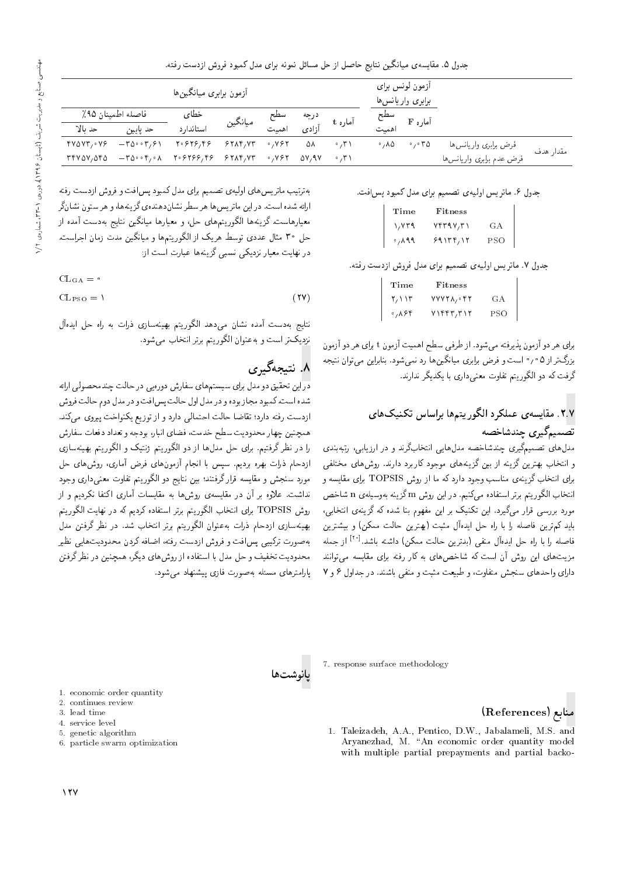$CL_{GA} = \circ$ 

| جدول ۵. مقایسهی میانگین نتایج حاصل از حل مسائل نمونه برای مدل کمبود فروش ازدست رفته. |  |  |  |  |  |
|--------------------------------------------------------------------------------------|--|--|--|--|--|
|--------------------------------------------------------------------------------------|--|--|--|--|--|

|           |                   | أزمون برابري ميانگينها |         |                         |       |              |       | ازمون لونس برای<br>برابرى واريانس ها |                           |           |
|-----------|-------------------|------------------------|---------|-------------------------|-------|--------------|-------|--------------------------------------|---------------------------|-----------|
|           | فاصله اطمينان ٩۵٪ | خطاي                   | ميانگين |                         |       | آماره t      | سطح   | آماره F آ                            |                           |           |
| حد بالا   | حد بابين          | استاندارد              |         | درجه سطح<br>آزادی اهمیت |       |              | اهميت |                                      |                           |           |
| 07700000  |                   |                        |         | $\circ$ , VS Y          | ۵۸    | $\cdot$ , ۳  |       | ٬٬۸۵ ٬٬۰۳۵                           | فرض برابرى واريانس ها     |           |
| ۳۴۷۵۷٬۵۴۵ |                   |                        |         | $\cdot$ , Y $\circ$ Y   | 57,97 | $\cdot$ , ۳۱ |       |                                      | فرض عدم برابرى واريانس ها | مقدار هدف |

جدول ۶. ماتریس اولیهی تصمیم برای مدل کمبود پس افت.

| Time                   | Fitness   |            |
|------------------------|-----------|------------|
| ۰٬۷۳۹                  | Y         | <b>GA</b>  |
| $\cdot$ , $\wedge$ 9.9 | ۶۹ ۱۳۴٫۱۲ | <b>PSO</b> |

جدول ٧. ماتريس اوليهي تصميم براي مدل فروش ازدست رفته.

| Time  | Fitness        |      |
|-------|----------------|------|
| ۲٬۱۱۳ | $VVVYA$ , $YY$ | GA   |
| ٬٬۸۶۴ | V1             | PSO. |

برای هر دو آزمون پذیرفته میشود. از طرفی سطح اهمیت آزمون t برای هر دو آزمون بزرگ تر از ۵ ۰/ ۰ است و فرض برابری میانگین ها رد نمی شود. بنابراین می توان نتیجه گرفت که دو الگوریتم تفاوت معنی داری با یکدیگر ندارند.

## ۲.۷. مقایسهی عملکرد الگوریتهها براساس تکنیکهای تصميمگيرى چندشاخصه

مدل های تصمیمگیری چندشاخصه مدل هایی انتخابگرند و در ارزیابی، رتبهبندی و انتخاب بهترین گزینه از بین گزینههای موجود کاربرد دارند. روشهای مختلفی برای انتخاب گزینهی مناسب وجود دارد که ما از روش TOPSIS برای مقایسه و انتخاب الگوریتم برتر استفاده میکنیم. در این روش m گزینه بهوسیلهی n شاخص مورد بررسی قرار میگیرد. این تکنیک بر این مفهوم بنا شده که گزینهی انتخابی، باید کم ترین فاصله را با راه حل ایدهآل مثبت (بهترین حالت ممکن) و بیشترین فاصله را با راه حل ایدهآل منفی (بدترین حالت ممکن) داشته باشد.<sup>[۲۰]</sup> از جمله مزیتهای این روش آن است که شاخصهای به کار رفته برای مقایسه می توانند دارای واحدهای سنجش متفاوت، و طبیعت مثبت و منفی باشند. در جداول ۶ و ۷

بهترتیب ماتریس های اولیهی تصمیم برای مدل کمبود پس افت و فروش ازدست رفته ارائه شده است. در این ماتریس ها هر سطر نشان دهندهی گزینهها، و هر ستون نشانگر معیارهاست. گزینهها الگوریتمهای حل، و معیارها میانگین نتایج بهدست آمده از حل ۳۰ مثال عددی توسط هریک از الگوریتمها و میانگین مدت زمان اجراست. در نهایت معیار نزدیکی نسبی گزینهها عبارت است از:

$$
CL_{PSO} = 1
$$
 (11)

نتایج بهدست آمده نشان میدهد الگوریتم بهینهسازی ذرات به راه حل ایدهآل نزدیکتر است و بهعنوان الگوریتم برتر انتخاب میشود.

# ۸. نتیجهگیری

دراین تحقیق دو مدل برای سیستمهای سفارش دورهیم در حالت چندمحصولی ارائه شده است. کمبود مجاز بوده و در مدل اول حالت پس افت و در مدل دوم حالت فروش ازدست رفته دارد؛ تقاضًا حالت احتمالي دارد و از توزيع يكنواخت پيروي ميكند. همچنین چهار محدودیت سطح خدمت، فضای انبار، بودجه و تعداد دفعات سفارش را در نظر گرفتیم. برای حل مدلها از دو الگوریتم ژنتیک و الگوریتم بهینهسازی ازدحام ذرات بهره بردیم. سپس با انجام آزمونهای فرض آماری، روشهای حل مورد سنجش و مقايسه قرار گرفتند؛ بين نتايج دو الگوريتم تفاوت معنىدارى وجود نداشت. علاوه بر آن در مقایسهی روشها به مقایسات آماری اکتفا نکردیم و از روش TOPSIS براي انتخاب الكوريتم برتر استفاده كرديم كه در نهايت الكوريتم بهینهسازی ازدحام ذرات بهعنوان الگوریتم برتر انتخاب شد. در نظر گرفتن مدل بهصورت تركيبي يس|فت و فروش ازدست رفته، اضافه كردن محدوديتهايي نظير محدودیت تخفیف و حل مدل با استفاده از روشهای دیگر، همچنین در نظرگرفتن یارامترهای مسئله بهصورت فازی پیشنهاد می شود.

7. response surface methodology



1. Taleizadeh, A.A., Pentico, D.W., Jabalameli, M.S. and Aryanezhad, M. "An economic order quantity model with multiple partial prepayments and partial backo-

- 1. economic order quantity
- 2. continues review
- 3. lead time
- 4. service level
- 5. genetic algorithm
- 6. particle swarm optimization